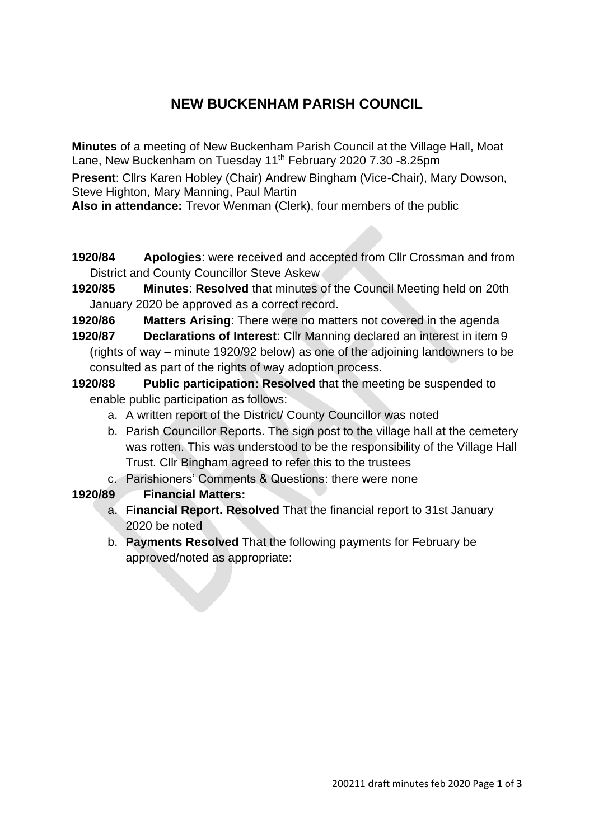# **NEW BUCKENHAM PARISH COUNCIL**

**Minutes** of a meeting of New Buckenham Parish Council at the Village Hall, Moat Lane, New Buckenham on Tuesday 11<sup>th</sup> February 2020 7.30 -8.25pm

**Present**: Cllrs Karen Hobley (Chair) Andrew Bingham (Vice-Chair), Mary Dowson, Steve Highton, Mary Manning, Paul Martin

**Also in attendance:** Trevor Wenman (Clerk), four members of the public

- **1920/84 Apologies**: were received and accepted from Cllr Crossman and from District and County Councillor Steve Askew
- **1920/85 Minutes**: **Resolved** that minutes of the Council Meeting held on 20th January 2020 be approved as a correct record.
- **1920/86 Matters Arising**: There were no matters not covered in the agenda
- **1920/87 Declarations of Interest**: Cllr Manning declared an interest in item 9 (rights of way – minute 1920/92 below) as one of the adjoining landowners to be consulted as part of the rights of way adoption process.
- **1920/88 Public participation: Resolved** that the meeting be suspended to enable public participation as follows:
	- a. A written report of the District/ County Councillor was noted
	- b. Parish Councillor Reports. The sign post to the village hall at the cemetery was rotten. This was understood to be the responsibility of the Village Hall Trust. Cllr Bingham agreed to refer this to the trustees
	- c. Parishioners' Comments & Questions: there were none
- **1920/89 Financial Matters:**
	- a. **Financial Report. Resolved** That the financial report to 31st January 2020 be noted
	- b. **Payments Resolved** That the following payments for February be approved/noted as appropriate: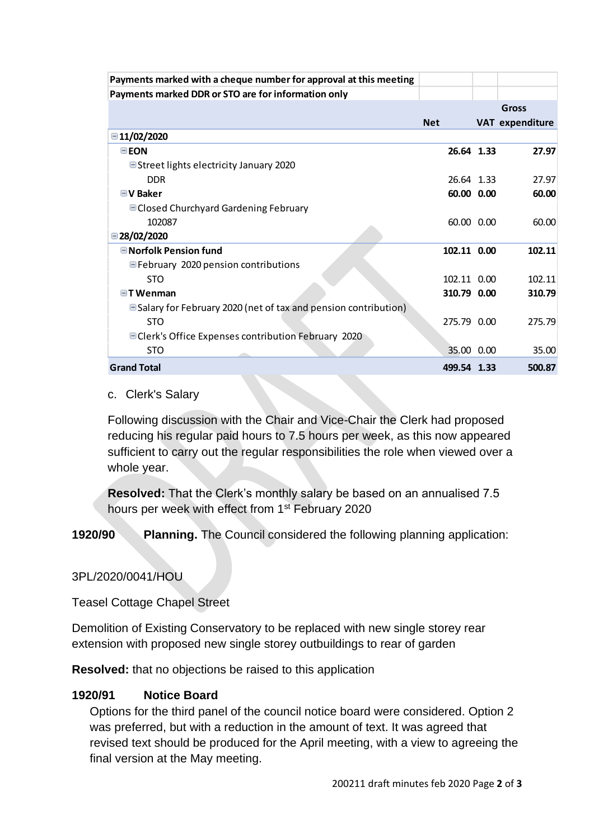| Payments marked with a cheque number for approval at this meeting     |             |                 |
|-----------------------------------------------------------------------|-------------|-----------------|
| Payments marked DDR or STO are for information only                   |             |                 |
|                                                                       |             | Gross           |
|                                                                       | <b>Net</b>  | VAT expenditure |
| ■11/02/2020                                                           |             |                 |
| EON                                                                   | 26.64 1.33  | 27.97           |
| ■ Street lights electricity January 2020                              |             |                 |
| <b>DDR</b>                                                            | 26.64 1.33  | 27.97           |
| $\Box$ V Baker                                                        | 60.00 0.00  | 60.00           |
| <b>■ Closed Churchyard Gardening February</b>                         |             |                 |
| 102087                                                                | 60.00 0.00  | 60.00           |
| ■28/02/2020                                                           |             |                 |
| <b>■Norfolk Pension fund</b>                                          | 102.11 0.00 | 102.11          |
| ■February 2020 pension contributions                                  |             |                 |
| <b>STO</b>                                                            | 102.11 0.00 | 102.11          |
| $\Box$ T Wenman                                                       | 310.79 0.00 | 310.79          |
| $\Box$ Salary for February 2020 (net of tax and pension contribution) |             |                 |
| <b>STO</b>                                                            | 275.79 0.00 | 275.79          |
| □ Clerk's Office Expenses contribution February 2020                  |             |                 |
| <b>STO</b>                                                            | 35.00 0.00  | 35.00           |
| <b>Grand Total</b>                                                    | 499.54 1.33 | 500.87          |

#### c. Clerk's Salary

Following discussion with the Chair and Vice-Chair the Clerk had proposed reducing his regular paid hours to 7.5 hours per week, as this now appeared sufficient to carry out the regular responsibilities the role when viewed over a whole year.

**Resolved:** That the Clerk's monthly salary be based on an annualised 7.5 hours per week with effect from 1<sup>st</sup> February 2020

**1920/90 Planning.** The Council considered the following planning application:

3PL/2020/0041/HOU

Teasel Cottage Chapel Street

Demolition of Existing Conservatory to be replaced with new single storey rear extension with proposed new single storey outbuildings to rear of garden

**Resolved:** that no objections be raised to this application

### **1920/91 Notice Board**

Options for the third panel of the council notice board were considered. Option 2 was preferred, but with a reduction in the amount of text. It was agreed that revised text should be produced for the April meeting, with a view to agreeing the final version at the May meeting.